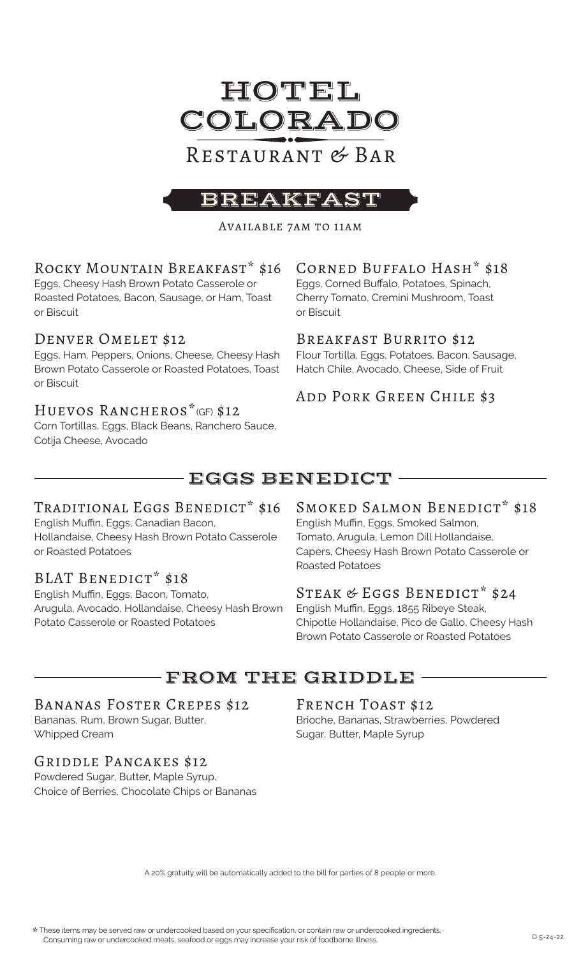

# Restaurant & Bar

## BREAKFA

Available 7am to 11am

## Rocky Mountain Breakfast\* \$16

Eggs, Cheesy Hash Brown Potato Casserole or Roasted Potatoes, Bacon, Sausage, or Ham, Toast or Biscuit

### DENVER OMELET \$12

Eggs, Ham, Peppers, Onions, Cheese, Cheesy Hash Brown Potato Casserole or Roasted Potatoes, Toast or Biscuit

## Huevos Rancheros\*(GF) \$12

Corn Tortillas, Eggs, Black Beans, Ranchero Sauce, Cotija Cheese, Avocado

## Corned Buffalo Hash\* \$18

Eggs, Corned Buffalo, Potatoes, Spinach, Cherry Tomato, Cremini Mushroom, Toast or Biscuit

### Breakfast Burrito \$12

Flour Tortilla, Eggs, Potatoes, Bacon, Sausage, Hatch Chile, Avocado, Cheese, Side of Fruit

## Add Pork Green Chile \$3

# EGGS BENEDICT

## TRADITIONAL EGGS BENEDICT\* \$16

English Muffin, Eggs, Canadian Bacon, Hollandaise, Cheesy Hash Brown Potato Casserole or Roasted Potatoes

## BLAT BENEDICT\* \$18

English Muffin, Eggs, Bacon, Tomato, Arugula, Avocado, Hollandaise, Cheesy Hash Brown Potato Casserole or Roasted Potatoes

### SMOKED SALMON BENEDICT\* \$18

English Muffin, Eggs, Smoked Salmon, Tomato, Arugula, Lemon Dill Hollandaise, Capers, Cheesy Hash Brown Potato Casserole or Roasted Potatoes

### STEAK & EGGS BENEDICT\* \$24

English Muffin, Eggs, 1855 Ribeye Steak, Chipotle Hollandaise, Pico de Gallo, Cheesy Hash Brown Potato Casserole or Roasted Potatoes

# FROM THE GRIDDLE

## Bananas Foster Crepes \$12

Bananas, Rum, Brown Sugar, Butter, Whipped Cream

### Griddle Pancakes \$12

Powdered Sugar, Butter, Maple Syrup. Choice of Berries, Chocolate Chips or Bananas

### FRENCH TOAST \$12

Brioche, Bananas, Strawberries, Powdered Sugar, Butter, Maple Syrup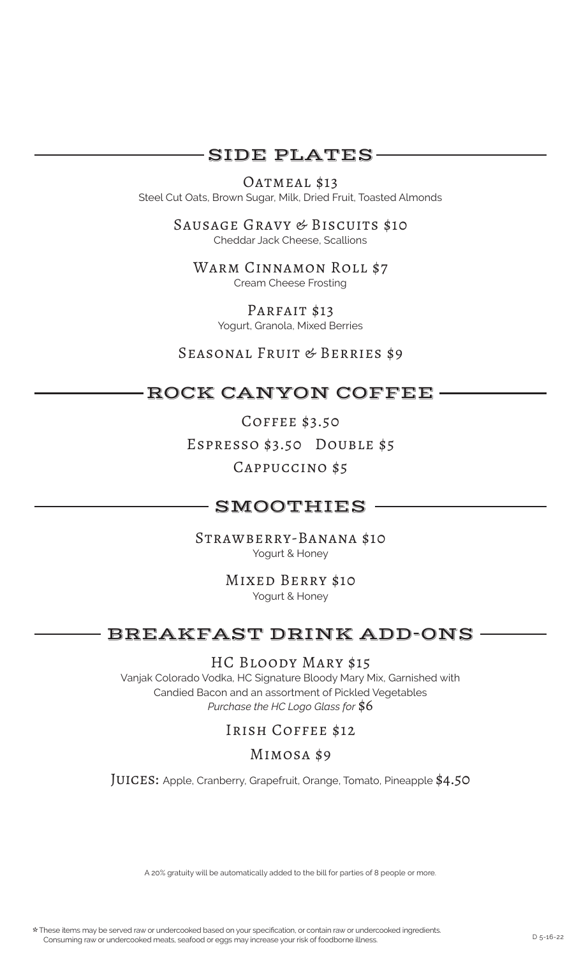## SIDE PLATES

### OATMEAL \$13

Steel Cut Oats, Brown Sugar, Milk, Dried Fruit, Toasted Almonds

Sausage Gravy & Biscuits \$10 Cheddar Jack Cheese, Scallions

WARM CINNAMON ROLL \$7 Cream Cheese Frosting

> PARFAIT \$13 Yogurt, Granola, Mixed Berries

Seasonal Fruit & Berries \$9

## ROCK CANYON COFFEE

Coffee \$3.50 Espresso \$3.50 Double \$5 Cappuccino \$5

## SMOOTHIES

Strawberry-Banana \$10 Yogurt & Honey

> Mixed Berry \$10 Yogurt & Honey

## BREAKFAST DRINK ADD-ONS

HC Bloody Mary \$15

Vanjak Colorado Vodka, HC Signature Bloody Mary Mix, Garnished with Candied Bacon and an assortment of Pickled Vegetables *Purchase the HC Logo Glass for* \$6

## Irish Coffee \$12

### Mimosa \$9

JUICES: Apple, Cranberry, Grapefruit, Orange, Tomato, Pineapple \$4.50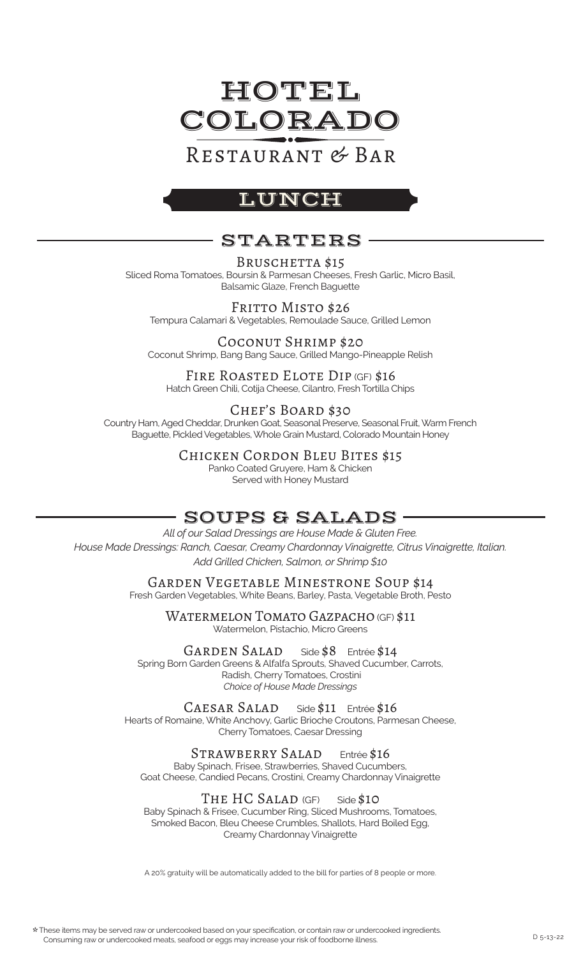

# Restaurant & Bar

# LUNCH

# STARTERS

#### BRUSCHETTA \$15

Sliced Roma Tomatoes, Boursin & Parmesan Cheeses, Fresh Garlic, Micro Basil, Balsamic Glaze, French Baguette

FRITTO MISTO \$26 Tempura Calamari & Vegetables, Remoulade Sauce, Grilled Lemon

Coconut Shrimp \$20 Coconut Shrimp, Bang Bang Sauce, Grilled Mango-Pineapple Relish

### FIRE ROASTED ELOTE DIP (GF) \$16

Hatch Green Chili, Cotija Cheese, Cilantro, Fresh Tortilla Chips

### Chef's Board \$30

Country Ham, Aged Cheddar, Drunken Goat, Seasonal Preserve, Seasonal Fruit, Warm French Baguette, Pickled Vegetables, Whole Grain Mustard, Colorado Mountain Honey

Chicken Cordon Bleu Bites \$15

Panko Coated Gruyere, Ham & Chicken Served with Honey Mustard

# SOUPS & SALADS

*All of our Salad Dressings are House Made & Gluten Free. House Made Dressings: Ranch, Caesar, Creamy Chardonnay Vinaigrette, Citrus Vinaigrette, Italian. Add Grilled Chicken, Salmon, or Shrimp \$10*

> Garden Vegetable Minestrone Soup \$14 Fresh Garden Vegetables, White Beans, Barley, Pasta, Vegetable Broth, Pesto

Watermelon Tomato Gazpacho (GF) \$11 Watermelon, Pistachio, Micro Greens

GARDEN SALAD Side \$8 Entrée \$14 Spring Born Garden Greens & Alfalfa Sprouts, Shaved Cucumber, Carrots, Radish, Cherry Tomatoes, Crostini *Choice of House Made Dressings*

CAESAR SALAD Side \$11 Entrée \$16 Hearts of Romaine, White Anchovy, Garlic Brioche Croutons, Parmesan Cheese,

Cherry Tomatoes, Caesar Dressing

STRAWBERRY SALAD Entrée \$16 Baby Spinach, Frisee, Strawberries, Shaved Cucumbers, Goat Cheese, Candied Pecans, Crostini, Creamy Chardonnay Vinaigrette

### $THE HC SALAD$  (GF) Side  $$1O$

Baby Spinach & Frisee, Cucumber Ring, Sliced Mushrooms, Tomatoes, Smoked Bacon, Bleu Cheese Crumbles, Shallots, Hard Boiled Egg, Creamy Chardonnay Vinaigrette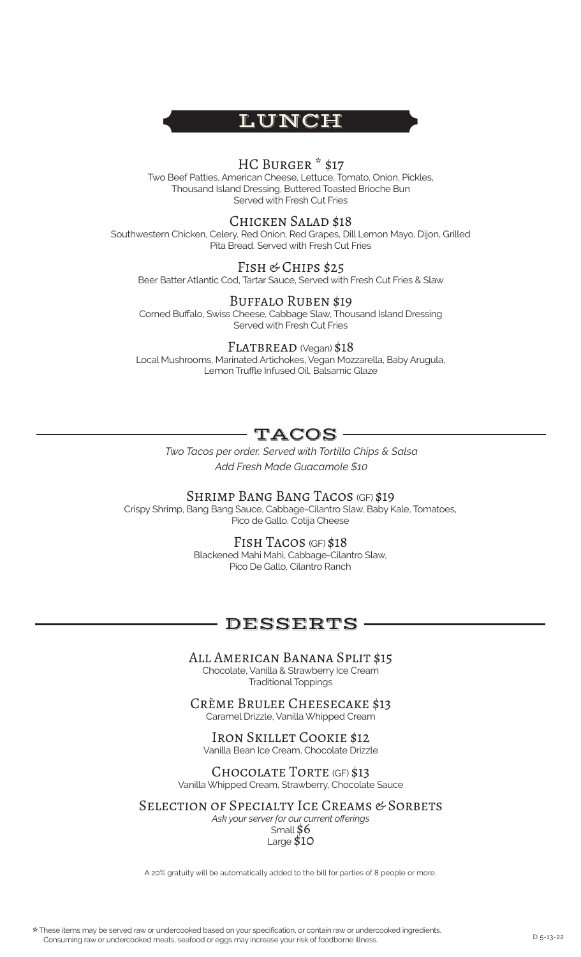

#### HC Burger \* \$17

Two Beef Patties, American Cheese, Lettuce, Tomato, Onion, Pickles, Thousand Island Dressing, Buttered Toasted Brioche Bun Served with Fresh Cut Fries

#### Chicken Salad \$18

Southwestern Chicken, Celery, Red Onion, Red Grapes, Dill Lemon Mayo, Dijon, Grilled Pita Bread, Served with Fresh Cut Fries

#### FISH & CHIPS \$25

Beer Batter Atlantic Cod, Tartar Sauce, Served with Fresh Cut Fries & Slaw

#### Buffalo Ruben \$19

Corned Buffalo, Swiss Cheese, Cabbage Slaw, Thousand Island Dressing Served with Fresh Cut Fries

#### FLATBREAD (Vegan) \$18

Local Mushrooms, Marinated Artichokes, Vegan Mozzarella, Baby Arugula, Lemon Truffle Infused Oil, Balsamic Glaze

## TACOS

*Two Tacos per order. Served with Tortilla Chips & Salsa Add Fresh Made Guacamole \$10*

SHRIMP BANG BANG TACOS (GF) \$19 Crispy Shrimp, Bang Bang Sauce, Cabbage-Cilantro Slaw, Baby Kale, Tomatoes,

Pico de Gallo, Cotija Cheese

Fish Tacos (GF) \$18 Blackened Mahi Mahi, Cabbage-Cilantro Slaw, Pico De Gallo, Cilantro Ranch

### DESSERTS

All American Banana Split \$15 Chocolate, Vanilla & Strawberry Ice Cream Traditional Toppings

Crème Brulee Cheesecake \$13 Caramel Drizzle, Vanilla Whipped Cream

Iron Skillet Cookie \$12 Vanilla Bean Ice Cream, Chocolate Drizzle

CHOCOLATE TORTE (GF) \$13 Vanilla Whipped Cream, Strawberry, Chocolate Sauce

SELECTION OF SPECIALTY ICE CREAMS & SORBETS

*Ask your server for our current offerings* Small \$6 Large \$10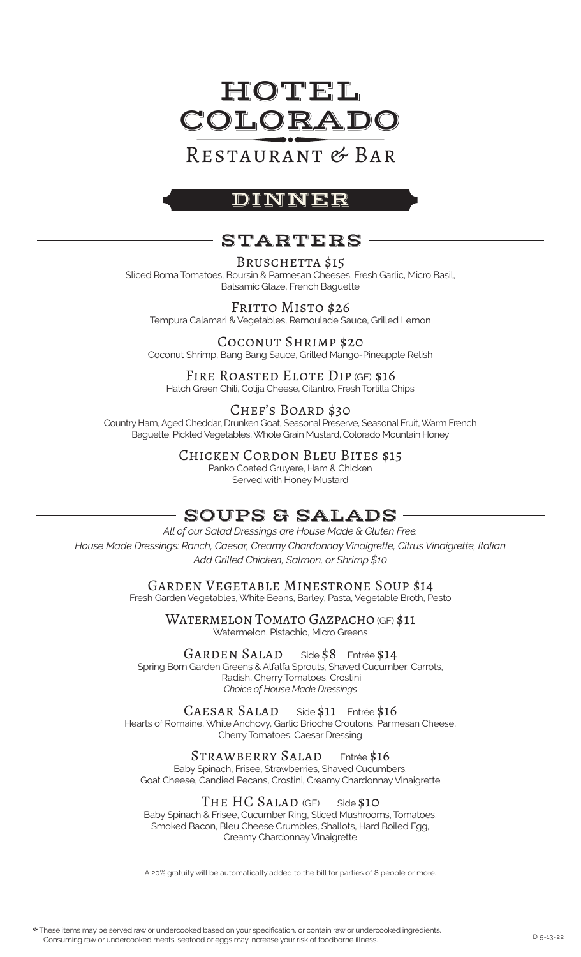

# Restaurant & Bar

## DINNER

# STARTERS

#### BRUSCHETTA \$15

Sliced Roma Tomatoes, Boursin & Parmesan Cheeses, Fresh Garlic, Micro Basil, Balsamic Glaze, French Baguette

FRITTO MISTO \$26 Tempura Calamari & Vegetables, Remoulade Sauce, Grilled Lemon

Coconut Shrimp \$20 Coconut Shrimp, Bang Bang Sauce, Grilled Mango-Pineapple Relish

#### FIRE ROASTED ELOTE DIP (GF) \$16

Hatch Green Chili, Cotija Cheese, Cilantro, Fresh Tortilla Chips

### Chef's Board \$30

Country Ham, Aged Cheddar, Drunken Goat, Seasonal Preserve, Seasonal Fruit, Warm French Baguette, Pickled Vegetables, Whole Grain Mustard, Colorado Mountain Honey

Chicken Cordon Bleu Bites \$15

Panko Coated Gruyere, Ham & Chicken Served with Honey Mustard

## SOUPS & SALADS

*All of our Salad Dressings are House Made & Gluten Free. House Made Dressings: Ranch, Caesar, Creamy Chardonnay Vinaigrette, Citrus Vinaigrette, Italian Add Grilled Chicken, Salmon, or Shrimp \$10*

> Garden Vegetable Minestrone Soup \$14 Fresh Garden Vegetables, White Beans, Barley, Pasta, Vegetable Broth, Pesto

> > WATERMELON TOMATO GAZPACHO (GF) \$11 Watermelon, Pistachio, Micro Greens

GARDEN SALAD Side \$8 Entrée \$14 Spring Born Garden Greens & Alfalfa Sprouts, Shaved Cucumber, Carrots, Radish, Cherry Tomatoes, Crostini *Choice of House Made Dressings*

CAESAR SALAD Side \$11 Entrée \$16 Hearts of Romaine, White Anchovy, Garlic Brioche Croutons, Parmesan Cheese, Cherry Tomatoes, Caesar Dressing

STRAWBERRY SALAD Entrée \$16 Baby Spinach, Frisee, Strawberries, Shaved Cucumbers, Goat Cheese, Candied Pecans, Crostini, Creamy Chardonnay Vinaigrette

THE HC SALAD (GF) Side \$10 Baby Spinach & Frisee, Cucumber Ring, Sliced Mushrooms, Tomatoes, Smoked Bacon, Bleu Cheese Crumbles, Shallots, Hard Boiled Egg, Creamy Chardonnay Vinaigrette